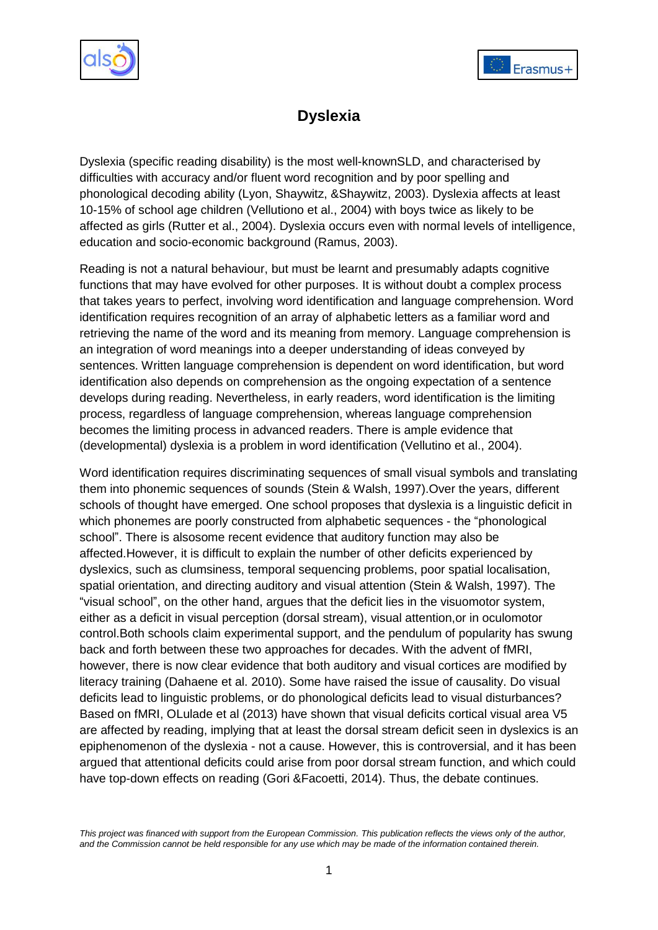



# **Dyslexia**

Dyslexia (specific reading disability) is the most well-knownSLD, and characterised by difficulties with accuracy and/or fluent word recognition and by poor spelling and phonological decoding ability (Lyon, Shaywitz, &Shaywitz, 2003). Dyslexia affects at least 10-15% of school age children (Vellutiono et al., 2004) with boys twice as likely to be affected as girls (Rutter et al., 2004). Dyslexia occurs even with normal levels of intelligence, education and socio-economic background (Ramus, 2003).

Reading is not a natural behaviour, but must be learnt and presumably adapts cognitive functions that may have evolved for other purposes. It is without doubt a complex process that takes years to perfect, involving word identification and language comprehension. Word identification requires recognition of an array of alphabetic letters as a familiar word and retrieving the name of the word and its meaning from memory. Language comprehension is an integration of word meanings into a deeper understanding of ideas conveyed by sentences. Written language comprehension is dependent on word identification, but word identification also depends on comprehension as the ongoing expectation of a sentence develops during reading. Nevertheless, in early readers, word identification is the limiting process, regardless of language comprehension, whereas language comprehension becomes the limiting process in advanced readers. There is ample evidence that (developmental) dyslexia is a problem in word identification (Vellutino et al., 2004).

Word identification requires discriminating sequences of small visual symbols and translating them into phonemic sequences of sounds (Stein & Walsh, 1997).Over the years, different schools of thought have emerged. One school proposes that dyslexia is a linguistic deficit in which phonemes are poorly constructed from alphabetic sequences - the "phonological" school". There is alsosome recent evidence that auditory function may also be affected.However, it is difficult to explain the number of other deficits experienced by dyslexics, such as clumsiness, temporal sequencing problems, poor spatial localisation, spatial orientation, and directing auditory and visual attention (Stein & Walsh, 1997). The ―visual school‖, on the other hand, argues that the deficit lies in the visuomotor system, either as a deficit in visual perception (dorsal stream), visual attention,or in oculomotor control.Both schools claim experimental support, and the pendulum of popularity has swung back and forth between these two approaches for decades. With the advent of fMRI, however, there is now clear evidence that both auditory and visual cortices are modified by literacy training (Dahaene et al. 2010). Some have raised the issue of causality. Do visual deficits lead to linguistic problems, or do phonological deficits lead to visual disturbances? Based on fMRI, OLulade et al (2013) have shown that visual deficits cortical visual area V5 are affected by reading, implying that at least the dorsal stream deficit seen in dyslexics is an epiphenomenon of the dyslexia - not a cause. However, this is controversial, and it has been argued that attentional deficits could arise from poor dorsal stream function, and which could have top-down effects on reading (Gori &Facoetti, 2014). Thus, the debate continues.

*This project was financed with support from the European Commission. This publication reflects the views only of the author, and the Commission cannot be held responsible for any use which may be made of the information contained therein.*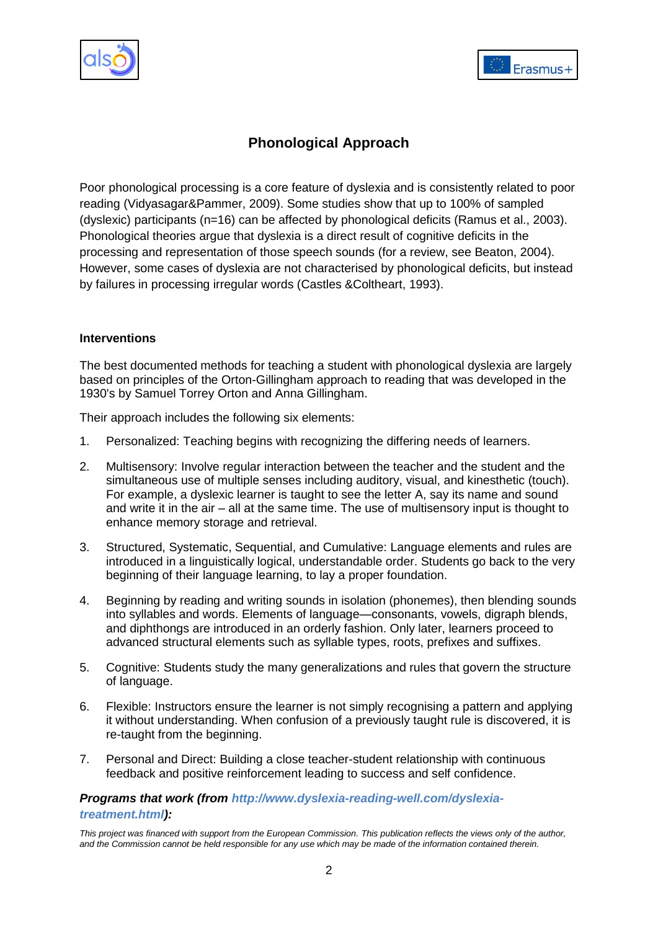



# **Phonological Approach**

Poor phonological processing is a core feature of dyslexia and is consistently related to poor reading (Vidyasagar&Pammer, 2009). Some studies show that up to 100% of sampled (dyslexic) participants (n=16) can be affected by phonological deficits (Ramus et al., 2003). Phonological theories argue that dyslexia is a direct result of cognitive deficits in the processing and representation of those speech sounds (for a review, see Beaton, 2004). However, some cases of dyslexia are not characterised by phonological deficits, but instead by failures in processing irregular words (Castles &Coltheart, 1993).

#### **Interventions**

The best documented methods for teaching a student with phonological dyslexia are largely based on principles of the Orton-Gillingham approach to reading that was developed in the 1930's by Samuel Torrey Orton and Anna Gillingham.

Their approach includes the following six elements:

- 1. Personalized: Teaching begins with recognizing the differing needs of learners.
- 2. Multisensory: Involve regular interaction between the teacher and the student and the simultaneous use of multiple senses including auditory, visual, and kinesthetic (touch). For example, a dyslexic learner is taught to see the letter A, say its name and sound and write it in the air – all at the same time. The use of multisensory input is thought to enhance memory storage and retrieval.
- 3. Structured, Systematic, Sequential, and Cumulative: Language elements and rules are introduced in a linguistically logical, understandable order. Students go back to the very beginning of their language learning, to lay a proper foundation.
- 4. Beginning by reading and writing sounds in isolation (phonemes), then blending sounds into syllables and words. Elements of language—consonants, vowels, digraph blends, and diphthongs are introduced in an orderly fashion. Only later, learners proceed to advanced structural elements such as syllable types, roots, prefixes and suffixes.
- 5. Cognitive: Students study the many generalizations and rules that govern the structure of language.
- 6. Flexible: Instructors ensure the learner is not simply recognising a pattern and applying it without understanding. When confusion of a previously taught rule is discovered, it is re-taught from the beginning.
- 7. Personal and Direct: Building a close teacher-student relationship with continuous feedback and positive reinforcement leading to success and self confidence.

# *Programs that work (from [http://www.dyslexia-reading-well.com/dyslexia](http://www.dyslexia-reading-well.com/dyslexia-treatment.html)[treatment.html\)](http://www.dyslexia-reading-well.com/dyslexia-treatment.html):*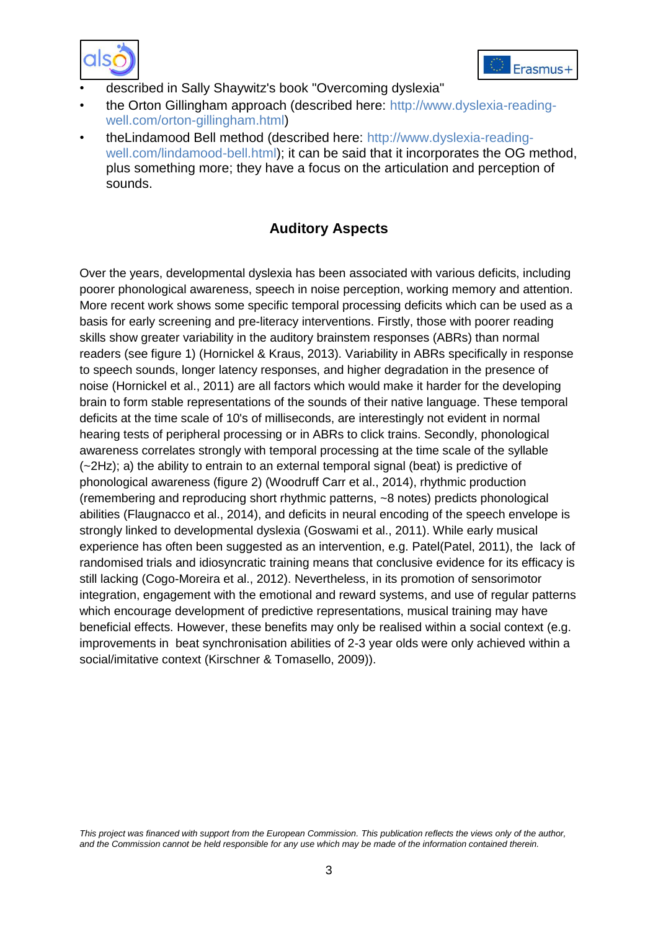



- described in Sally Shaywitz's book "Overcoming dyslexia"
- the Orton Gillingham approach (described here: [http://www.dyslexia-reading](http://www.dyslexia-reading-well.com/orton-gillingham.html)[well.com/orton-gillingham.html\)](http://www.dyslexia-reading-well.com/orton-gillingham.html)
- theLindamood Bell method (described here: [http://www.dyslexia-reading](http://www.dyslexia-reading-well.com/lindamood-bell.html)[well.com/lindamood-bell.html\)](http://www.dyslexia-reading-well.com/lindamood-bell.html); it can be said that it incorporates the OG method, plus something more; they have a focus on the articulation and perception of sounds.

# **Auditory Aspects**

Over the years, developmental dyslexia has been associated with various deficits, including poorer phonological awareness, speech in noise perception, working memory and attention. More recent work shows some specific temporal processing deficits which can be used as a basis for early screening and pre-literacy interventions. Firstly, those with poorer reading skills show greater variability in the auditory brainstem responses (ABRs) than normal readers (see figure 1) [\(Hornickel & Kraus, 2013\)](#page-12-0). Variability in ABRs specifically in response to speech sounds, longer latency responses, and higher degradation in the presence of noise [\(Hornickel et al., 2011\)](#page-12-1) are all factors which would make it harder for the developing brain to form stable representations of the sounds of their native language. These temporal deficits at the time scale of 10's of milliseconds, are interestingly not evident in normal hearing tests of peripheral processing or in ABRs to click trains. Secondly, phonological awareness correlates strongly with temporal processing at the time scale of the syllable (~2Hz); a) the ability to entrain to an external temporal signal (beat) is predictive of phonological awareness (figure 2) [\(Woodruff Carr et al., 2014\)](#page-14-0), rhythmic production (remembering and reproducing short rhythmic patterns, ~8 notes) predicts phonological abilities [\(Flaugnacco et al., 2014\)](#page-11-0), and deficits in neural encoding of the speech envelope is strongly linked to developmental dyslexia [\(Goswami et al., 2011\)](#page-11-1). While early musical experience has often been suggested as an intervention, e.g. Patel[\(Patel, 2011\)](#page-13-0), the lack of randomised trials and idiosyncratic training means that conclusive evidence for its efficacy is still lacking [\(Cogo-Moreira et al., 2012\)](#page-10-0). Nevertheless, in its promotion of sensorimotor integration, engagement with the emotional and reward systems, and use of regular patterns which encourage development of predictive representations, musical training may have beneficial effects. However, these benefits may only be realised within a social context (e.g. improvements in beat synchronisation abilities of 2-3 year olds were only achieved within a social/imitative context [\(Kirschner & Tomasello, 2009\)](#page-12-2)).

*This project was financed with support from the European Commission. This publication reflects the views only of the author, and the Commission cannot be held responsible for any use which may be made of the information contained therein.*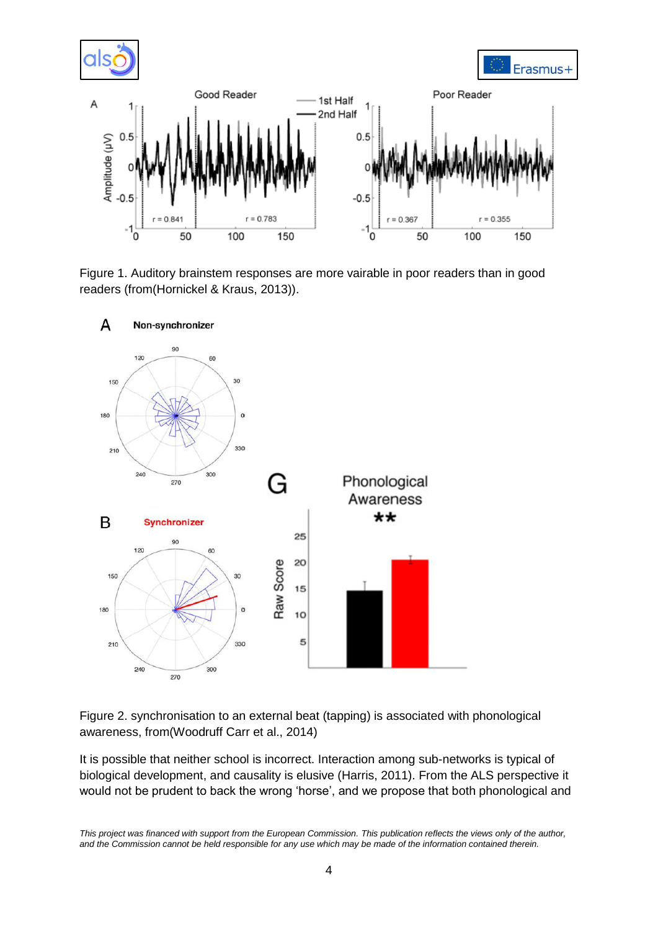

Figure 1. Auditory brainstem responses are more vairable in poor readers than in good readers (from[\(Hornickel & Kraus, 2013\)](#page-12-0)).



Figure 2. synchronisation to an external beat (tapping) is associated with phonological awareness, from[\(Woodruff Carr et al., 2014\)](#page-14-0)

It is possible that neither school is incorrect. Interaction among sub-networks is typical of biological development, and causality is elusive (Harris, 2011). From the ALS perspective it would not be prudent to back the wrong 'horse', and we propose that both phonological and

*This project was financed with support from the European Commission. This publication reflects the views only of the author, and the Commission cannot be held responsible for any use which may be made of the information contained therein.*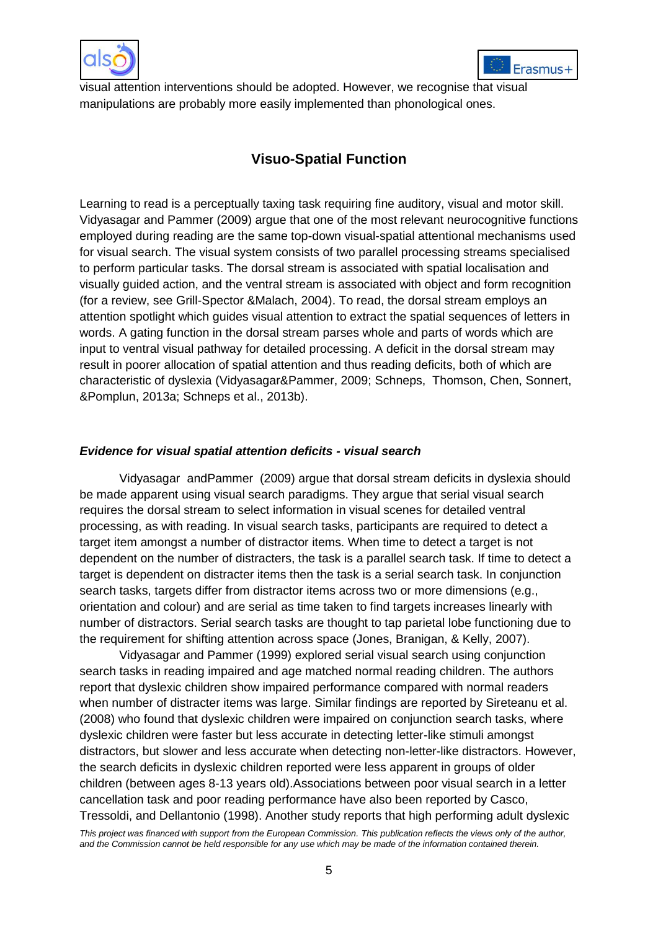



visual attention interventions should be adopted. However, we recognise that visual manipulations are probably more easily implemented than phonological ones.

# **Visuo-Spatial Function**

Learning to read is a perceptually taxing task requiring fine auditory, visual and motor skill. Vidyasagar and Pammer (2009) argue that one of the most relevant neurocognitive functions employed during reading are the same top-down visual-spatial attentional mechanisms used for visual search. The visual system consists of two parallel processing streams specialised to perform particular tasks. The dorsal stream is associated with spatial localisation and visually guided action, and the ventral stream is associated with object and form recognition (for a review, see Grill-Spector &Malach, 2004). To read, the dorsal stream employs an attention spotlight which guides visual attention to extract the spatial sequences of letters in words. A gating function in the dorsal stream parses whole and parts of words which are input to ventral visual pathway for detailed processing. A deficit in the dorsal stream may result in poorer allocation of spatial attention and thus reading deficits, both of which are characteristic of dyslexia (Vidyasagar&Pammer, 2009; Schneps, Thomson, Chen, Sonnert, &Pomplun, 2013a; Schneps et al., 2013b).

# *Evidence for visual spatial attention deficits - visual search*

Vidyasagar andPammer (2009) argue that dorsal stream deficits in dyslexia should be made apparent using visual search paradigms. They argue that serial visual search requires the dorsal stream to select information in visual scenes for detailed ventral processing, as with reading. In visual search tasks, participants are required to detect a target item amongst a number of distractor items. When time to detect a target is not dependent on the number of distracters, the task is a parallel search task. If time to detect a target is dependent on distracter items then the task is a serial search task. In conjunction search tasks, targets differ from distractor items across two or more dimensions (e.g., orientation and colour) and are serial as time taken to find targets increases linearly with number of distractors. Serial search tasks are thought to tap parietal lobe functioning due to the requirement for shifting attention across space (Jones, Branigan, & Kelly, 2007).

Vidyasagar and Pammer (1999) explored serial visual search using conjunction search tasks in reading impaired and age matched normal reading children. The authors report that dyslexic children show impaired performance compared with normal readers when number of distracter items was large. Similar findings are reported by Sireteanu et al. (2008) who found that dyslexic children were impaired on conjunction search tasks, where dyslexic children were faster but less accurate in detecting letter-like stimuli amongst distractors, but slower and less accurate when detecting non-letter-like distractors. However, the search deficits in dyslexic children reported were less apparent in groups of older children (between ages 8-13 years old).Associations between poor visual search in a letter cancellation task and poor reading performance have also been reported by Casco, Tressoldi, and Dellantonio (1998). Another study reports that high performing adult dyslexic

*This project was financed with support from the European Commission. This publication reflects the views only of the author, and the Commission cannot be held responsible for any use which may be made of the information contained therein.*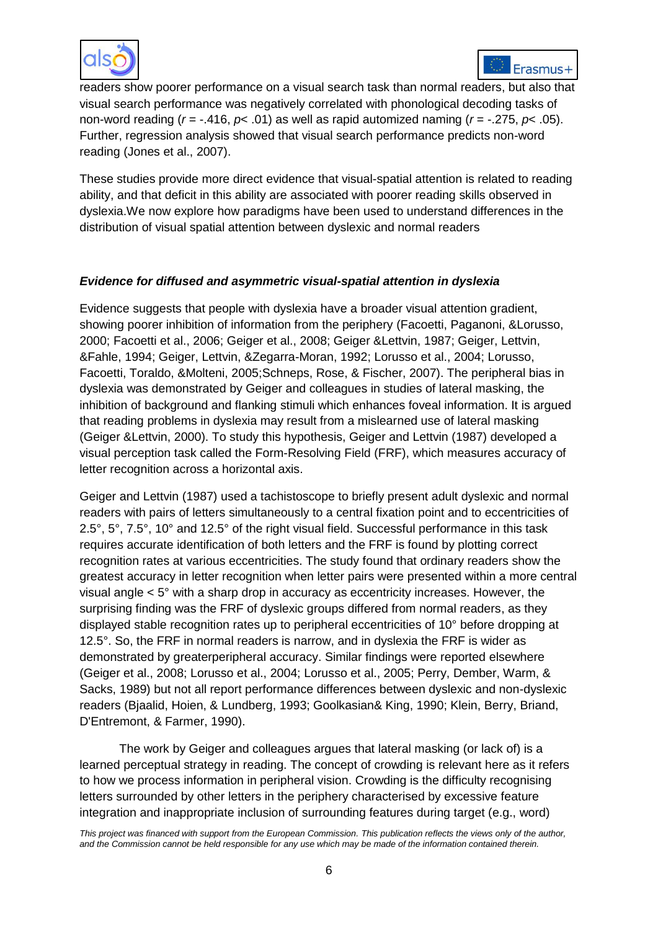



readers show poorer performance on a visual search task than normal readers, but also that visual search performance was negatively correlated with phonological decoding tasks of non-word reading (*r* = -.416, *p*< .01) as well as rapid automized naming (*r* = -.275, *p*< .05). Further, regression analysis showed that visual search performance predicts non-word reading (Jones et al., 2007).

These studies provide more direct evidence that visual-spatial attention is related to reading ability, and that deficit in this ability are associated with poorer reading skills observed in dyslexia.We now explore how paradigms have been used to understand differences in the distribution of visual spatial attention between dyslexic and normal readers

# *Evidence for diffused and asymmetric visual-spatial attention in dyslexia*

Evidence suggests that people with dyslexia have a broader visual attention gradient, showing poorer inhibition of information from the periphery (Facoetti, Paganoni, &Lorusso, 2000; Facoetti et al., 2006; Geiger et al., 2008; Geiger &Lettvin, 1987; Geiger, Lettvin, &Fahle, 1994; Geiger, Lettvin, &Zegarra-Moran, 1992; Lorusso et al., 2004; Lorusso, Facoetti, Toraldo, &Molteni, 2005;Schneps, Rose, & Fischer, 2007). The peripheral bias in dyslexia was demonstrated by Geiger and colleagues in studies of lateral masking, the inhibition of background and flanking stimuli which enhances foveal information. It is argued that reading problems in dyslexia may result from a mislearned use of lateral masking (Geiger &Lettvin, 2000). To study this hypothesis, Geiger and Lettvin (1987) developed a visual perception task called the Form-Resolving Field (FRF), which measures accuracy of letter recognition across a horizontal axis.

Geiger and Lettvin (1987) used a tachistoscope to briefly present adult dyslexic and normal readers with pairs of letters simultaneously to a central fixation point and to eccentricities of 2.5°, 5°, 7.5°, 10° and 12.5° of the right visual field. Successful performance in this task requires accurate identification of both letters and the FRF is found by plotting correct recognition rates at various eccentricities. The study found that ordinary readers show the greatest accuracy in letter recognition when letter pairs were presented within a more central visual angle < 5° with a sharp drop in accuracy as eccentricity increases. However, the surprising finding was the FRF of dyslexic groups differed from normal readers, as they displayed stable recognition rates up to peripheral eccentricities of 10° before dropping at 12.5°. So, the FRF in normal readers is narrow, and in dyslexia the FRF is wider as demonstrated by greaterperipheral accuracy. Similar findings were reported elsewhere (Geiger et al., 2008; Lorusso et al., 2004; Lorusso et al., 2005; Perry, Dember, Warm, & Sacks, 1989) but not all report performance differences between dyslexic and non-dyslexic readers (Bjaalid, Hoien, & Lundberg, 1993; Goolkasian& King, 1990; Klein, Berry, Briand, D'Entremont, & Farmer, 1990).

The work by Geiger and colleagues argues that lateral masking (or lack of) is a learned perceptual strategy in reading. The concept of crowding is relevant here as it refers to how we process information in peripheral vision. Crowding is the difficulty recognising letters surrounded by other letters in the periphery characterised by excessive feature integration and inappropriate inclusion of surrounding features during target (e.g., word)

*This project was financed with support from the European Commission. This publication reflects the views only of the author, and the Commission cannot be held responsible for any use which may be made of the information contained therein.*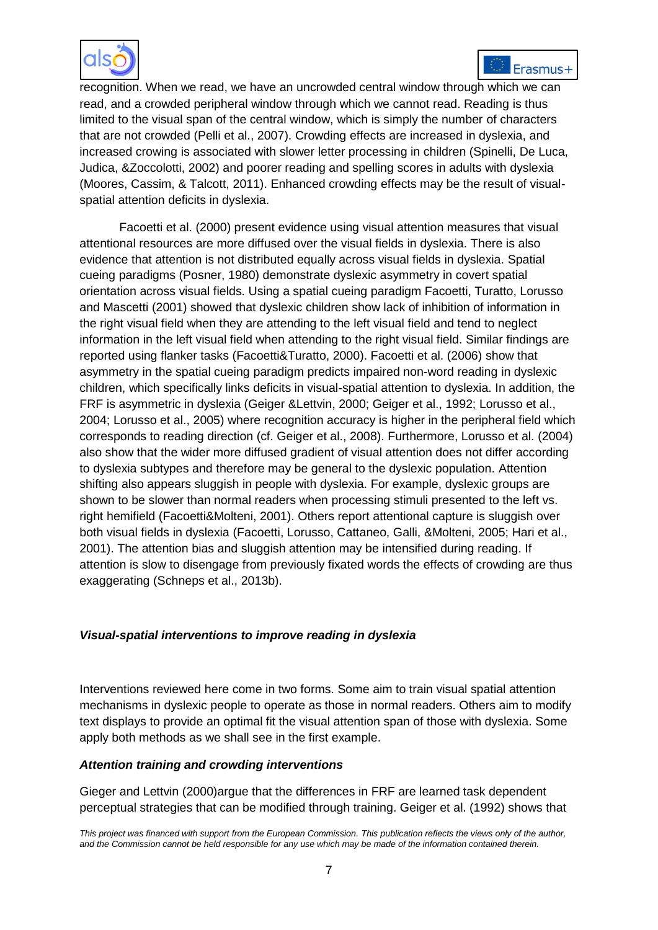



recognition. When we read, we have an uncrowded central window through which we can read, and a crowded peripheral window through which we cannot read. Reading is thus limited to the visual span of the central window, which is simply the number of characters that are not crowded (Pelli et al., 2007). Crowding effects are increased in dyslexia, and increased crowing is associated with slower letter processing in children (Spinelli, De Luca, Judica, &Zoccolotti, 2002) and poorer reading and spelling scores in adults with dyslexia (Moores, Cassim, & Talcott, 2011). Enhanced crowding effects may be the result of visualspatial attention deficits in dyslexia.

Facoetti et al. (2000) present evidence using visual attention measures that visual attentional resources are more diffused over the visual fields in dyslexia. There is also evidence that attention is not distributed equally across visual fields in dyslexia. Spatial cueing paradigms (Posner, 1980) demonstrate dyslexic asymmetry in covert spatial orientation across visual fields. Using a spatial cueing paradigm Facoetti, Turatto, Lorusso and Mascetti (2001) showed that dyslexic children show lack of inhibition of information in the right visual field when they are attending to the left visual field and tend to neglect information in the left visual field when attending to the right visual field. Similar findings are reported using flanker tasks (Facoetti&Turatto, 2000). Facoetti et al. (2006) show that asymmetry in the spatial cueing paradigm predicts impaired non-word reading in dyslexic children, which specifically links deficits in visual-spatial attention to dyslexia. In addition, the FRF is asymmetric in dyslexia (Geiger &Lettvin, 2000; Geiger et al., 1992; Lorusso et al., 2004; Lorusso et al., 2005) where recognition accuracy is higher in the peripheral field which corresponds to reading direction (cf. Geiger et al., 2008). Furthermore, Lorusso et al. (2004) also show that the wider more diffused gradient of visual attention does not differ according to dyslexia subtypes and therefore may be general to the dyslexic population. Attention shifting also appears sluggish in people with dyslexia. For example, dyslexic groups are shown to be slower than normal readers when processing stimuli presented to the left vs. right hemifield (Facoetti&Molteni, 2001). Others report attentional capture is sluggish over both visual fields in dyslexia (Facoetti, Lorusso, Cattaneo, Galli, &Molteni, 2005; Hari et al., 2001). The attention bias and sluggish attention may be intensified during reading. If attention is slow to disengage from previously fixated words the effects of crowding are thus exaggerating (Schneps et al., 2013b).

# *Visual-spatial interventions to improve reading in dyslexia*

Interventions reviewed here come in two forms. Some aim to train visual spatial attention mechanisms in dyslexic people to operate as those in normal readers. Others aim to modify text displays to provide an optimal fit the visual attention span of those with dyslexia. Some apply both methods as we shall see in the first example.

# *Attention training and crowding interventions*

Gieger and Lettvin (2000)argue that the differences in FRF are learned task dependent perceptual strategies that can be modified through training. Geiger et al. (1992) shows that

*This project was financed with support from the European Commission. This publication reflects the views only of the author, and the Commission cannot be held responsible for any use which may be made of the information contained therein.*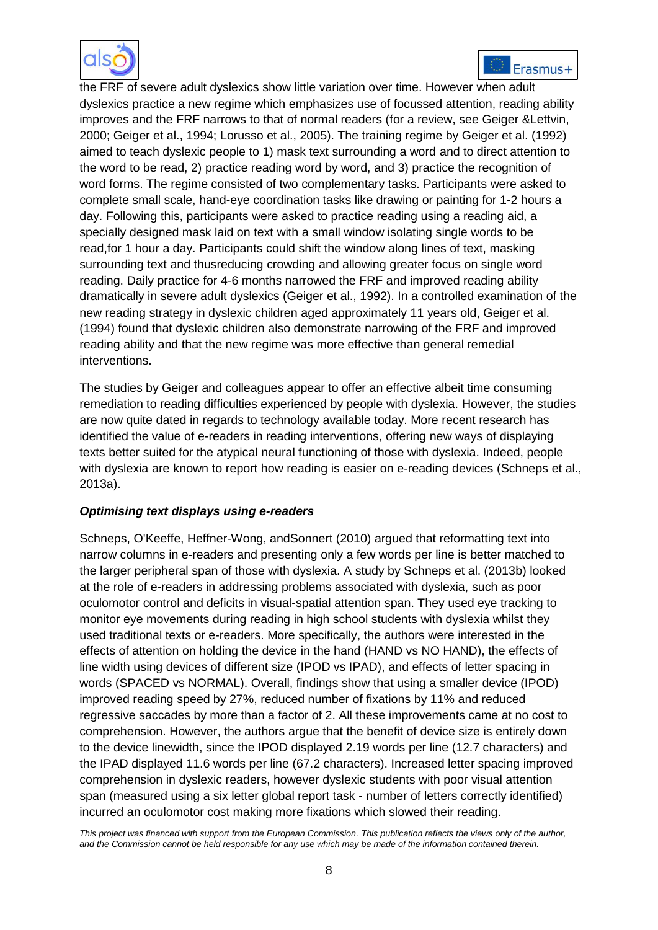



the FRF of severe adult dyslexics show little variation over time. However when adult dyslexics practice a new regime which emphasizes use of focussed attention, reading ability improves and the FRF narrows to that of normal readers (for a review, see Geiger &Lettvin, 2000; Geiger et al., 1994; Lorusso et al., 2005). The training regime by Geiger et al. (1992) aimed to teach dyslexic people to 1) mask text surrounding a word and to direct attention to the word to be read, 2) practice reading word by word, and 3) practice the recognition of word forms. The regime consisted of two complementary tasks. Participants were asked to complete small scale, hand-eye coordination tasks like drawing or painting for 1-2 hours a day. Following this, participants were asked to practice reading using a reading aid, a specially designed mask laid on text with a small window isolating single words to be read,for 1 hour a day. Participants could shift the window along lines of text, masking surrounding text and thusreducing crowding and allowing greater focus on single word reading. Daily practice for 4-6 months narrowed the FRF and improved reading ability dramatically in severe adult dyslexics (Geiger et al., 1992). In a controlled examination of the new reading strategy in dyslexic children aged approximately 11 years old, Geiger et al. (1994) found that dyslexic children also demonstrate narrowing of the FRF and improved reading ability and that the new regime was more effective than general remedial interventions.

The studies by Geiger and colleagues appear to offer an effective albeit time consuming remediation to reading difficulties experienced by people with dyslexia. However, the studies are now quite dated in regards to technology available today. More recent research has identified the value of e-readers in reading interventions, offering new ways of displaying texts better suited for the atypical neural functioning of those with dyslexia. Indeed, people with dyslexia are known to report how reading is easier on e-reading devices (Schneps et al., 2013a).

# *Optimising text displays using e-readers*

Schneps, O'Keeffe, Heffner-Wong, andSonnert (2010) argued that reformatting text into narrow columns in e-readers and presenting only a few words per line is better matched to the larger peripheral span of those with dyslexia. A study by Schneps et al. (2013b) looked at the role of e-readers in addressing problems associated with dyslexia, such as poor oculomotor control and deficits in visual-spatial attention span. They used eye tracking to monitor eye movements during reading in high school students with dyslexia whilst they used traditional texts or e-readers. More specifically, the authors were interested in the effects of attention on holding the device in the hand (HAND vs NO HAND), the effects of line width using devices of different size (IPOD vs IPAD), and effects of letter spacing in words (SPACED vs NORMAL). Overall, findings show that using a smaller device (IPOD) improved reading speed by 27%, reduced number of fixations by 11% and reduced regressive saccades by more than a factor of 2. All these improvements came at no cost to comprehension. However, the authors argue that the benefit of device size is entirely down to the device linewidth, since the IPOD displayed 2.19 words per line (12.7 characters) and the IPAD displayed 11.6 words per line (67.2 characters). Increased letter spacing improved comprehension in dyslexic readers, however dyslexic students with poor visual attention span (measured using a six letter global report task - number of letters correctly identified) incurred an oculomotor cost making more fixations which slowed their reading.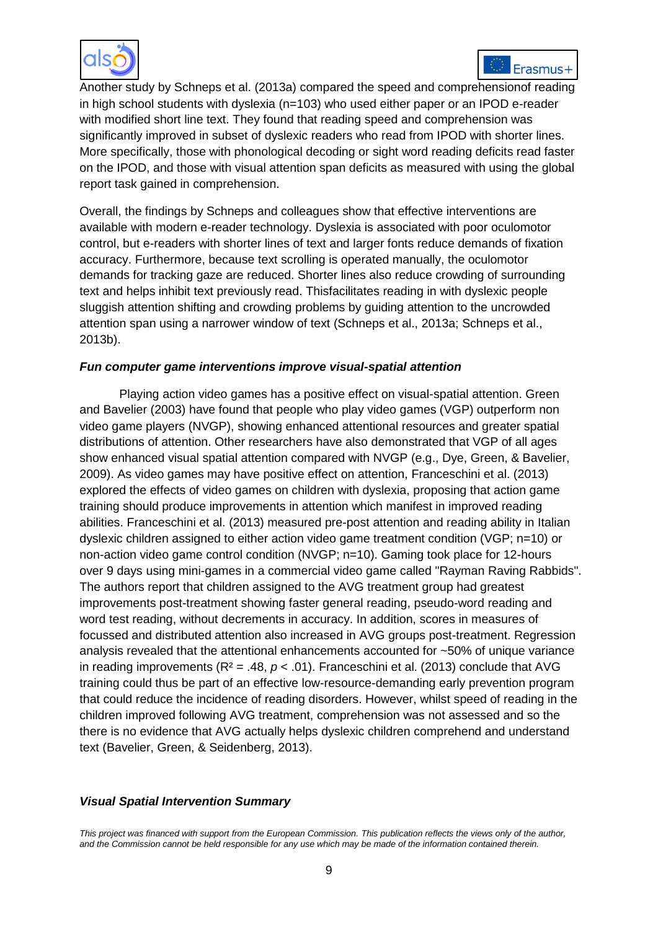



Another study by Schneps et al. (2013a) compared the speed and comprehensionof reading in high school students with dyslexia (n=103) who used either paper or an IPOD e-reader with modified short line text. They found that reading speed and comprehension was significantly improved in subset of dyslexic readers who read from IPOD with shorter lines. More specifically, those with phonological decoding or sight word reading deficits read faster on the IPOD, and those with visual attention span deficits as measured with using the global report task gained in comprehension.

Overall, the findings by Schneps and colleagues show that effective interventions are available with modern e-reader technology. Dyslexia is associated with poor oculomotor control, but e-readers with shorter lines of text and larger fonts reduce demands of fixation accuracy. Furthermore, because text scrolling is operated manually, the oculomotor demands for tracking gaze are reduced. Shorter lines also reduce crowding of surrounding text and helps inhibit text previously read. Thisfacilitates reading in with dyslexic people sluggish attention shifting and crowding problems by guiding attention to the uncrowded attention span using a narrower window of text (Schneps et al., 2013a; Schneps et al., 2013b).

# *Fun computer game interventions improve visual-spatial attention*

Playing action video games has a positive effect on visual-spatial attention. Green and Bavelier (2003) have found that people who play video games (VGP) outperform non video game players (NVGP), showing enhanced attentional resources and greater spatial distributions of attention. Other researchers have also demonstrated that VGP of all ages show enhanced visual spatial attention compared with NVGP (e.g., Dye, Green, & Bavelier, 2009). As video games may have positive effect on attention, Franceschini et al. (2013) explored the effects of video games on children with dyslexia, proposing that action game training should produce improvements in attention which manifest in improved reading abilities. Franceschini et al. (2013) measured pre-post attention and reading ability in Italian dyslexic children assigned to either action video game treatment condition (VGP; n=10) or non-action video game control condition (NVGP; n=10). Gaming took place for 12-hours over 9 days using mini-games in a commercial video game called "Rayman Raving Rabbids". The authors report that children assigned to the AVG treatment group had greatest improvements post-treatment showing faster general reading, pseudo-word reading and word test reading, without decrements in accuracy. In addition, scores in measures of focussed and distributed attention also increased in AVG groups post-treatment. Regression analysis revealed that the attentional enhancements accounted for ~50% of unique variance in reading improvements (R² = .48, *p* < .01). Franceschini et al. (2013) conclude that AVG training could thus be part of an effective low-resource-demanding early prevention program that could reduce the incidence of reading disorders. However, whilst speed of reading in the children improved following AVG treatment, comprehension was not assessed and so the there is no evidence that AVG actually helps dyslexic children comprehend and understand text (Bavelier, Green, & Seidenberg, 2013).

# *Visual Spatial Intervention Summary*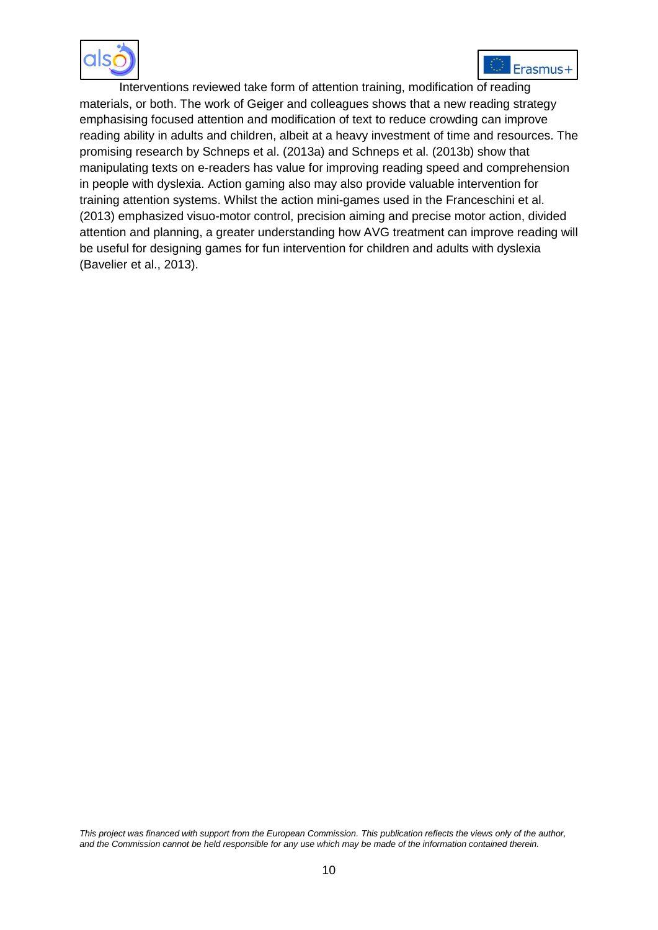



Interventions reviewed take form of attention training, modification of reading materials, or both. The work of Geiger and colleagues shows that a new reading strategy emphasising focused attention and modification of text to reduce crowding can improve reading ability in adults and children, albeit at a heavy investment of time and resources. The promising research by Schneps et al. (2013a) and Schneps et al. (2013b) show that manipulating texts on e-readers has value for improving reading speed and comprehension in people with dyslexia. Action gaming also may also provide valuable intervention for training attention systems. Whilst the action mini-games used in the Franceschini et al. (2013) emphasized visuo-motor control, precision aiming and precise motor action, divided attention and planning, a greater understanding how AVG treatment can improve reading will be useful for designing games for fun intervention for children and adults with dyslexia (Bavelier et al., 2013).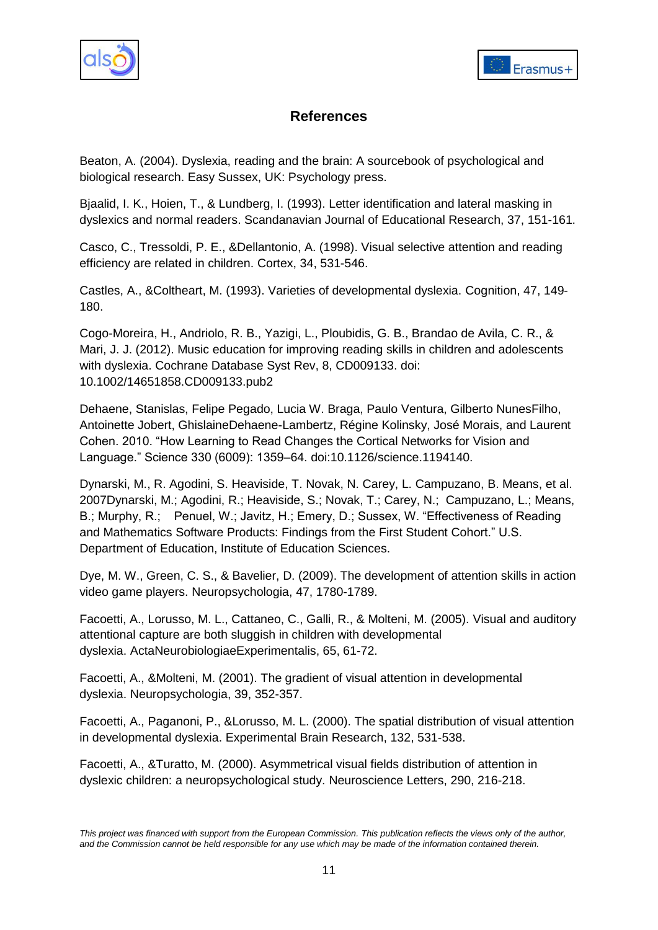



# **References**

Beaton, A. (2004). Dyslexia, reading and the brain: A sourcebook of psychological and biological research. Easy Sussex, UK: Psychology press.

Bjaalid, I. K., Hoien, T., & Lundberg, I. (1993). Letter identification and lateral masking in dyslexics and normal readers. Scandanavian Journal of Educational Research, 37, 151-161.

Casco, C., Tressoldi, P. E., &Dellantonio, A. (1998). Visual selective attention and reading efficiency are related in children. Cortex, 34, 531-546.

Castles, A., &Coltheart, M. (1993). Varieties of developmental dyslexia. Cognition, 47, 149- 180.

<span id="page-10-0"></span>Cogo-Moreira, H., Andriolo, R. B., Yazigi, L., Ploubidis, G. B., Brandao de Avila, C. R., & Mari, J. J. (2012). Music education for improving reading skills in children and adolescents with dyslexia. Cochrane Database Syst Rev, 8, CD009133. doi: 10.1002/14651858.CD009133.pub2

Dehaene, Stanislas, Felipe Pegado, Lucia W. Braga, Paulo Ventura, Gilberto NunesFilho, Antoinette Jobert, GhislaineDehaene-Lambertz, Régine Kolinsky, José Morais, and Laurent Cohen. 2010. "How Learning to Read Changes the Cortical Networks for Vision and Language.‖ Science 330 (6009): 1359–64. [doi:10.1126/science.1194140.](http://doi.org/10.1126/science.1194140)

Dynarski, M., R. Agodini, S. Heaviside, T. Novak, N. Carey, L. Campuzano, B. Means, et al. 2007Dynarski, M.; Agodini, R.; Heaviside, S.; Novak, T.; Carey, N.; Campuzano, L.; Means, B.; Murphy, R.; Penuel, W.; Javitz, H.; Emery, D.; Sussex, W. "Effectiveness of Reading and Mathematics Software Products: Findings from the First Student Cohort." U.S. Department of Education, Institute of Education Sciences.

Dye, M. W., Green, C. S., & Bavelier, D. (2009). The development of attention skills in action video game players. Neuropsychologia, 47, 1780-1789.

Facoetti, A., Lorusso, M. L., Cattaneo, C., Galli, R., & Molteni, M. (2005). Visual and auditory attentional capture are both sluggish in children with developmental dyslexia. ActaNeurobiologiaeExperimentalis, 65, 61-72.

Facoetti, A., &Molteni, M. (2001). The gradient of visual attention in developmental dyslexia. Neuropsychologia, 39, 352-357.

Facoetti, A., Paganoni, P., &Lorusso, M. L. (2000). The spatial distribution of visual attention in developmental dyslexia. Experimental Brain Research, 132, 531-538.

Facoetti, A., &Turatto, M. (2000). Asymmetrical visual fields distribution of attention in dyslexic children: a neuropsychological study. Neuroscience Letters, 290, 216-218.

*This project was financed with support from the European Commission. This publication reflects the views only of the author, and the Commission cannot be held responsible for any use which may be made of the information contained therein.*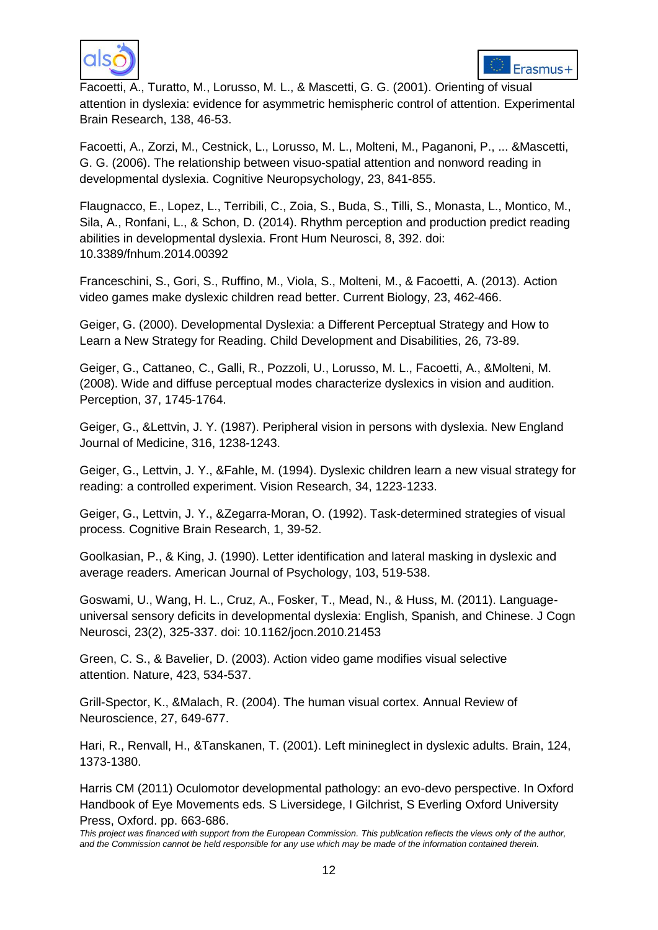



Facoetti, A., Turatto, M., Lorusso, M. L., & Mascetti, G. G. (2001). Orienting of visual attention in dyslexia: evidence for asymmetric hemispheric control of attention. Experimental Brain Research, 138, 46-53.

Facoetti, A., Zorzi, M., Cestnick, L., Lorusso, M. L., Molteni, M., Paganoni, P., ... &Mascetti, G. G. (2006). The relationship between visuo-spatial attention and nonword reading in developmental dyslexia. Cognitive Neuropsychology, 23, 841-855.

<span id="page-11-0"></span>Flaugnacco, E., Lopez, L., Terribili, C., Zoia, S., Buda, S., Tilli, S., Monasta, L., Montico, M., Sila, A., Ronfani, L., & Schon, D. (2014). Rhythm perception and production predict reading abilities in developmental dyslexia. Front Hum Neurosci, 8, 392. doi: 10.3389/fnhum.2014.00392

Franceschini, S., Gori, S., Ruffino, M., Viola, S., Molteni, M., & Facoetti, A. (2013). Action video games make dyslexic children read better. Current Biology, 23, 462-466.

Geiger, G. (2000). Developmental Dyslexia: a Different Perceptual Strategy and How to Learn a New Strategy for Reading. Child Development and Disabilities, 26, 73-89.

Geiger, G., Cattaneo, C., Galli, R., Pozzoli, U., Lorusso, M. L., Facoetti, A., &Molteni, M. (2008). Wide and diffuse perceptual modes characterize dyslexics in vision and audition. Perception, 37, 1745-1764.

Geiger, G., &Lettvin, J. Y. (1987). Peripheral vision in persons with dyslexia. New England Journal of Medicine, 316, 1238-1243.

Geiger, G., Lettvin, J. Y., &Fahle, M. (1994). Dyslexic children learn a new visual strategy for reading: a controlled experiment. Vision Research, 34, 1223-1233.

Geiger, G., Lettvin, J. Y., &Zegarra-Moran, O. (1992). Task-determined strategies of visual process. Cognitive Brain Research, 1, 39-52.

Goolkasian, P., & King, J. (1990). Letter identification and lateral masking in dyslexic and average readers. American Journal of Psychology, 103, 519-538.

<span id="page-11-1"></span>Goswami, U., Wang, H. L., Cruz, A., Fosker, T., Mead, N., & Huss, M. (2011). Languageuniversal sensory deficits in developmental dyslexia: English, Spanish, and Chinese. J Cogn Neurosci, 23(2), 325-337. doi: 10.1162/jocn.2010.21453

Green, C. S., & Bavelier, D. (2003). Action video game modifies visual selective attention. Nature, 423, 534-537.

Grill-Spector, K., &Malach, R. (2004). The human visual cortex. Annual Review of Neuroscience, 27, 649-677.

Hari, R., Renvall, H., &Tanskanen, T. (2001). Left minineglect in dyslexic adults. Brain, 124, 1373-1380.

Harris CM (2011) Oculomotor developmental pathology: an evo-devo perspective. In Oxford Handbook of Eye Movements eds. S Liversidege, I Gilchrist, S Everling Oxford University Press, Oxford. pp. 663-686.

*This project was financed with support from the European Commission. This publication reflects the views only of the author, and the Commission cannot be held responsible for any use which may be made of the information contained therein.*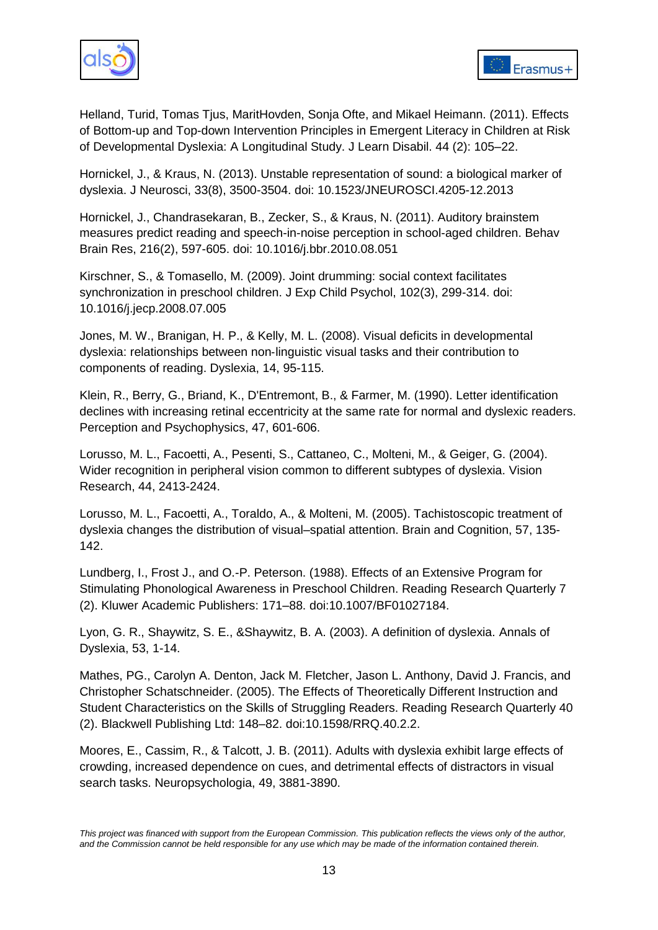



Helland, Turid, Tomas Tjus, MaritHovden, Sonja Ofte, and Mikael Heimann. (2011). Effects of Bottom-up and Top-down Intervention Principles in Emergent Literacy in Children at Risk of Developmental Dyslexia: A Longitudinal Study. J Learn Disabil. 44 (2): 105–22.

<span id="page-12-0"></span>Hornickel, J., & Kraus, N. (2013). Unstable representation of sound: a biological marker of dyslexia. J Neurosci, 33(8), 3500-3504. doi: 10.1523/JNEUROSCI.4205-12.2013

<span id="page-12-1"></span>Hornickel, J., Chandrasekaran, B., Zecker, S., & Kraus, N. (2011). Auditory brainstem measures predict reading and speech-in-noise perception in school-aged children. Behav Brain Res, 216(2), 597-605. doi: 10.1016/j.bbr.2010.08.051

<span id="page-12-2"></span>Kirschner, S., & Tomasello, M. (2009). Joint drumming: social context facilitates synchronization in preschool children. J Exp Child Psychol, 102(3), 299-314. doi: 10.1016/j.jecp.2008.07.005

Jones, M. W., Branigan, H. P., & Kelly, M. L. (2008). Visual deficits in developmental dyslexia: relationships between non‐linguistic visual tasks and their contribution to components of reading. Dyslexia, 14, 95-115.

Klein, R., Berry, G., Briand, K., D'Entremont, B., & Farmer, M. (1990). Letter identification declines with increasing retinal eccentricity at the same rate for normal and dyslexic readers. Perception and Psychophysics, 47, 601-606.

Lorusso, M. L., Facoetti, A., Pesenti, S., Cattaneo, C., Molteni, M., & Geiger, G. (2004). Wider recognition in peripheral vision common to different subtypes of dyslexia. Vision Research, 44, 2413-2424.

Lorusso, M. L., Facoetti, A., Toraldo, A., & Molteni, M. (2005). Tachistoscopic treatment of dyslexia changes the distribution of visual–spatial attention. Brain and Cognition, 57, 135- 142.

Lundberg, I., Frost J., and O.-P. Peterson. (1988). Effects of an Extensive Program for Stimulating Phonological Awareness in Preschool Children. Reading Research Quarterly 7 (2). Kluwer Academic Publishers: 171–88. [doi:10.1007/BF01027184.](http://doi.org/10.1007/BF01027184)

Lyon, G. R., Shaywitz, S. E., &Shaywitz, B. A. (2003). A definition of dyslexia. Annals of Dyslexia, 53, 1-14.

Mathes, PG., Carolyn A. Denton, Jack M. Fletcher, Jason L. Anthony, David J. Francis, and Christopher Schatschneider. (2005). The Effects of Theoretically Different Instruction and Student Characteristics on the Skills of Struggling Readers. Reading Research Quarterly 40 (2). Blackwell Publishing Ltd: 148–82. [doi:10.1598/RRQ.40.2.2.](http://doi.org/10.1598/RRQ.40.2.2)

Moores, E., Cassim, R., & Talcott, J. B. (2011). Adults with dyslexia exhibit large effects of crowding, increased dependence on cues, and detrimental effects of distractors in visual search tasks. Neuropsychologia, 49, 3881-3890.

*This project was financed with support from the European Commission. This publication reflects the views only of the author, and the Commission cannot be held responsible for any use which may be made of the information contained therein.*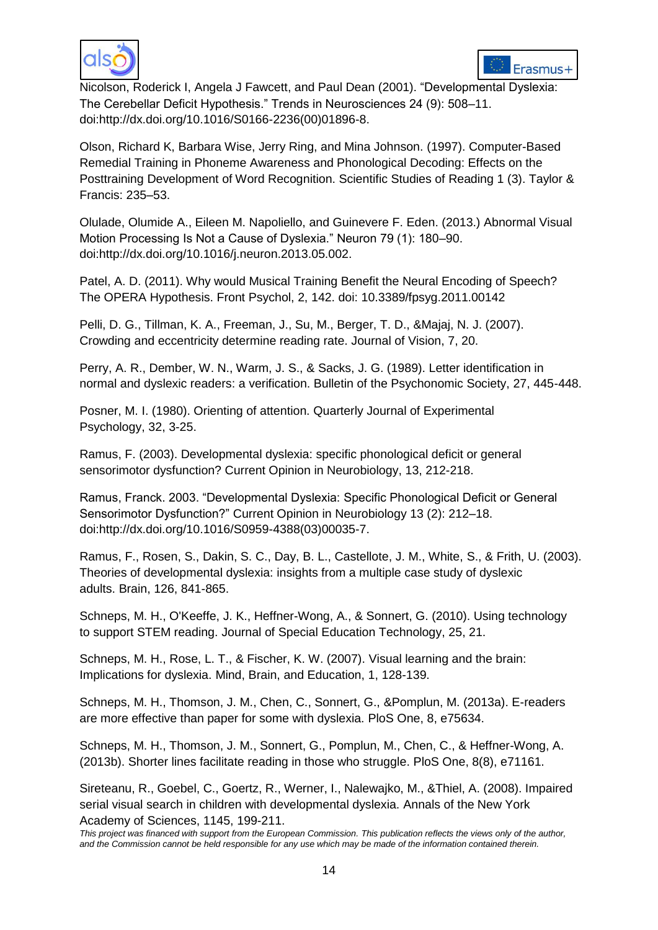



Nicolson, Roderick I, Angela J Fawcett, and Paul Dean (2001). "Developmental Dyslexia: The Cerebellar Deficit Hypothesis." Trends in Neurosciences 24 (9): 508-11. [doi:http://dx.doi.org/10.1016/S0166-2236\(00\)01896-8.](http://doi.org/http:/dx.doi.org/10.1016/S0166-2236(00)01896-8)

Olson, Richard K, Barbara Wise, Jerry Ring, and Mina Johnson. (1997). Computer-Based Remedial Training in Phoneme Awareness and Phonological Decoding: Effects on the Posttraining Development of Word Recognition. Scientific Studies of Reading 1 (3). Taylor & Francis: 235–53.

Olulade, Olumide A., Eileen M. Napoliello, and Guinevere F. Eden. (2013.) Abnormal Visual Motion Processing Is Not a Cause of Dyslexia." Neuron 79 (1): 180-90. [doi:http://dx.doi.org/10.1016/j.neuron.2013.05.002.](http://doi.org/http:/dx.doi.org/10.1016/j.neuron.2013.05.002)

<span id="page-13-0"></span>Patel, A. D. (2011). Why would Musical Training Benefit the Neural Encoding of Speech? The OPERA Hypothesis. Front Psychol, 2, 142. doi: 10.3389/fpsyg.2011.00142

Pelli, D. G., Tillman, K. A., Freeman, J., Su, M., Berger, T. D., &Majaj, N. J. (2007). Crowding and eccentricity determine reading rate. Journal of Vision, 7, 20.

Perry, A. R., Dember, W. N., Warm, J. S., & Sacks, J. G. (1989). Letter identification in normal and dyslexic readers: a verification. Bulletin of the Psychonomic Society, 27, 445-448.

Posner, M. I. (1980). Orienting of attention. Quarterly Journal of Experimental Psychology, 32, 3-25.

Ramus, F. (2003). Developmental dyslexia: specific phonological deficit or general sensorimotor dysfunction? Current Opinion in Neurobiology, 13, 212-218.

Ramus, Franck. 2003. "Developmental Dyslexia: Specific Phonological Deficit or General Sensorimotor Dysfunction?" Current Opinion in Neurobiology 13 (2): 212-18. [doi:http://dx.doi.org/10.1016/S0959-4388\(03\)00035-7.](http://doi.org/http:/dx.doi.org/10.1016/S0959-4388(03)00035-7)

Ramus, F., Rosen, S., Dakin, S. C., Day, B. L., Castellote, J. M., White, S., & Frith, U. (2003). Theories of developmental dyslexia: insights from a multiple case study of dyslexic adults. Brain, 126, 841-865.

Schneps, M. H., O'Keeffe, J. K., Heffner-Wong, A., & Sonnert, G. (2010). Using technology to support STEM reading. Journal of Special Education Technology, 25, 21.

Schneps, M. H., Rose, L. T., & Fischer, K. W. (2007). Visual learning and the brain: Implications for dyslexia. Mind, Brain, and Education, 1, 128-139.

Schneps, M. H., Thomson, J. M., Chen, C., Sonnert, G., &Pomplun, M. (2013a). E-readers are more effective than paper for some with dyslexia. PloS One, 8, e75634.

Schneps, M. H., Thomson, J. M., Sonnert, G., Pomplun, M., Chen, C., & Heffner-Wong, A. (2013b). Shorter lines facilitate reading in those who struggle. PloS One, 8(8), e71161.

Sireteanu, R., Goebel, C., Goertz, R., Werner, I., Nalewajko, M., &Thiel, A. (2008). Impaired serial visual search in children with developmental dyslexia. Annals of the New York Academy of Sciences, 1145, 199-211.

*This project was financed with support from the European Commission. This publication reflects the views only of the author, and the Commission cannot be held responsible for any use which may be made of the information contained therein.*